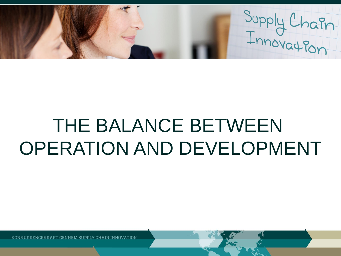Supply Chain

# THE BALANCE BETWEEN OPERATION AND DEVELOPMENT

SUPPLY CHAIN INNOVATION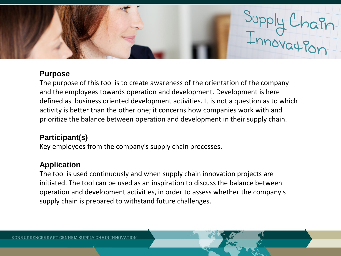

### **Purpose**

The purpose of this tool is to create awareness of the orientation of the company and the employees towards operation and development. Development is here defined as business oriented development activities. It is not a question as to which activity is better than the other one; it concerns how companies work with and prioritize the balance between operation and development in their supply chain.

# **Participant(s)**

Key employees from the company's supply chain processes.

## **Application**

The tool is used continuously and when supply chain innovation projects are initiated. The tool can be used as an inspiration to discuss the balance between operation and development activities, in order to assess whether the company's supply chain is prepared to withstand future challenges.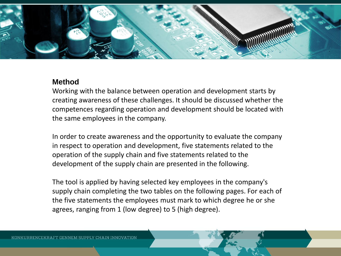

## **Method**

Working with the balance between operation and development starts by creating awareness of these challenges. It should be discussed whether the competences regarding operation and development should be located with the same employees in the company.

In order to create awareness and the opportunity to evaluate the company in respect to operation and development, five statements related to the operation of the supply chain and five statements related to the development of the supply chain are presented in the following.

The tool is applied by having selected key employees in the company's supply chain completing the two tables on the following pages. For each of the five statements the employees must mark to which degree he or she agrees, ranging from 1 (low degree) to 5 (high degree).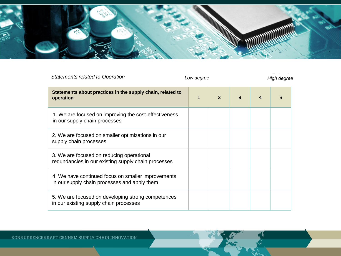

| <b>Statements related to Operation</b>                                                             | Low degree   |   |   |                | High degree |  |  |
|----------------------------------------------------------------------------------------------------|--------------|---|---|----------------|-------------|--|--|
| Statements about practices in the supply chain, related to<br>operation                            | $\mathbf{1}$ | 2 | з | $\overline{4}$ | 5           |  |  |
| 1. We are focused on improving the cost-effectiveness<br>in our supply chain processes             |              |   |   |                |             |  |  |
| 2. We are focused on smaller optimizations in our<br>supply chain processes                        |              |   |   |                |             |  |  |
| 3. We are focused on reducing operational<br>redundancies in our existing supply chain processes   |              |   |   |                |             |  |  |
| 4. We have continued focus on smaller improvements<br>in our supply chain processes and apply them |              |   |   |                |             |  |  |
| 5. We are focused on developing strong competences<br>in our existing supply chain processes       |              |   |   |                |             |  |  |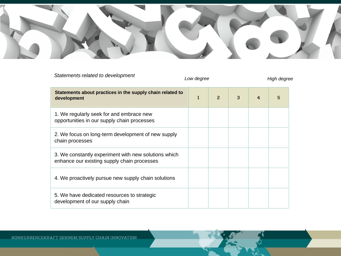

| Statements related to development                                                                   | Low degree |   |   |                | High degree |  |  |
|-----------------------------------------------------------------------------------------------------|------------|---|---|----------------|-------------|--|--|
| Statements about practices in the supply chain related to<br>development                            | 1          | 2 | 3 | $\overline{4}$ | 5           |  |  |
| 1. We regularly seek for and embrace new<br>opportunities in our supply chain processes             |            |   |   |                |             |  |  |
| 2. We focus on long-term development of new supply<br>chain processes                               |            |   |   |                |             |  |  |
| 3. We constantly experiment with new solutions which<br>enhance our existing supply chain processes |            |   |   |                |             |  |  |
| 4. We proactively pursue new supply chain solutions                                                 |            |   |   |                |             |  |  |
| 5. We have dedicated resources to strategic<br>development of our supply chain                      |            |   |   |                |             |  |  |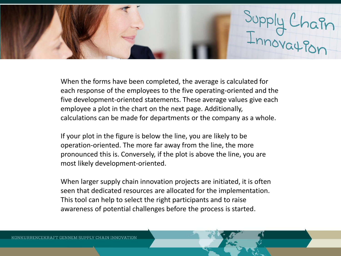

When the forms have been completed, the average is calculated for each response of the employees to the five operating-oriented and the five development-oriented statements. These average values give each employee a plot in the chart on the next page. Additionally, calculations can be made for departments or the company as a whole.

If your plot in the figure is below the line, you are likely to be operation-oriented. The more far away from the line, the more pronounced this is. Conversely, if the plot is above the line, you are most likely development-oriented.

When larger supply chain innovation projects are initiated, it is often seen that dedicated resources are allocated for the implementation. This tool can help to select the right participants and to raise awareness of potential challenges before the process is started.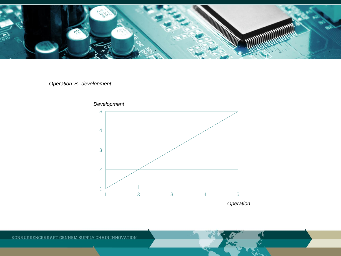

*Operation vs. development* 



*Development*